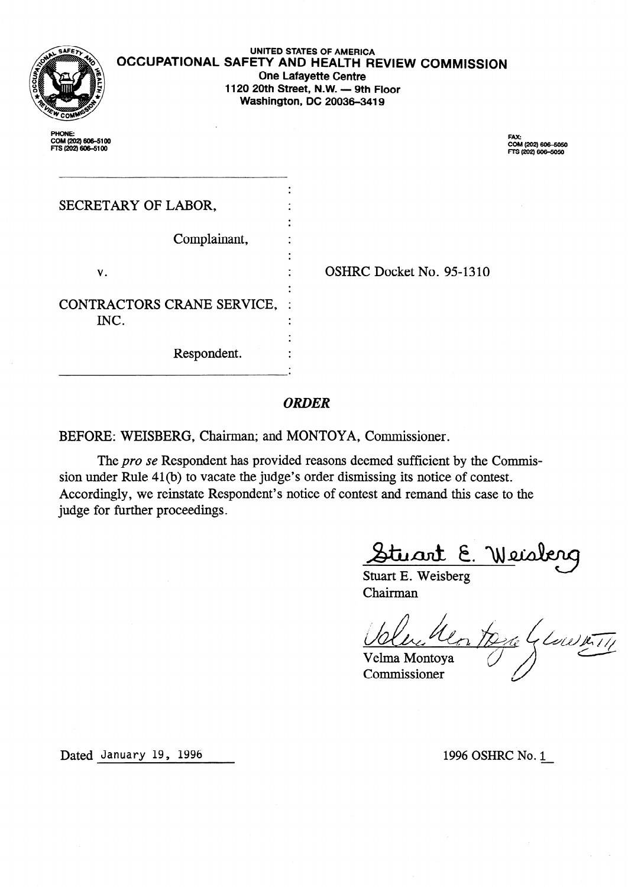|                                                    | UNITED STATES OF AMERICA<br>OCCUPATIONAL SAFETY AND HEALTH REVIEW COMMISSION<br><b>One Lafayette Centre</b><br>1120 20th Street, N.W. - 9th Floor<br>Washington, DC 20036-3419 |                          |                                                         |
|----------------------------------------------------|--------------------------------------------------------------------------------------------------------------------------------------------------------------------------------|--------------------------|---------------------------------------------------------|
| PHONE:<br>COM (202) 606-5100<br>FTS (202) 606-5100 |                                                                                                                                                                                |                          | <b>FAX:</b><br>COM (202) 606-5050<br>FTS (202) 606-5050 |
| SECRETARY OF LABOR,                                |                                                                                                                                                                                |                          |                                                         |
|                                                    | Complainant,                                                                                                                                                                   |                          |                                                         |
| V.                                                 |                                                                                                                                                                                | OSHRC Docket No. 95-1310 |                                                         |
| CONTRACTORS CRANE SERVICE, :<br>INC.               |                                                                                                                                                                                |                          |                                                         |
|                                                    | Respondent.                                                                                                                                                                    |                          |                                                         |

## **ORDER**

BEFORE: WEISBERG, Chairman; and MONTOYA, Commissioner.

The pro se Respondent has provided reasons deemed sufficient by the Commission under Rule 41 (b) to vacate the judge's order dismissing its notice of contest. Accordingly, we reinstate Respondent's notice of contest and remand this case to the judge for further proceedings.

<u>Stuart E. We</u>isb

Stuart E. Weisberg Chairman

 $\frac{2\pi e}{\sqrt{\frac{2e}{c^{1}}}}$ Velma Montoya

Commissioner

Dated January 19, 1996 1996 1996 1996 0SHRC No. 1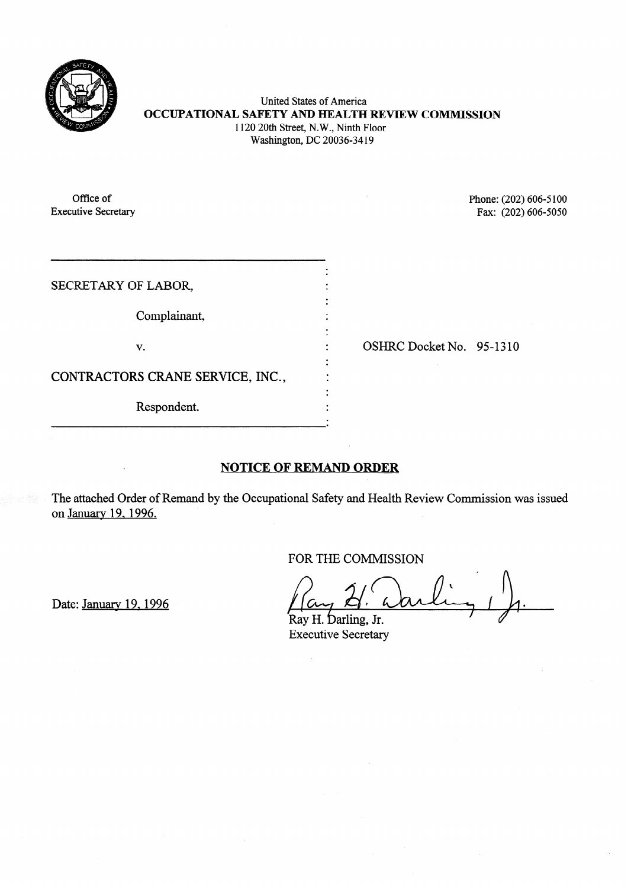

United States of America **OCCUPATIONAL SAFETY AND HEALTH REVIEW COMMISSION**  1120 20th Street, N.W., Ninth Floor Washington, DC 20036-34 19

Office of Phone: (202) 606-5100<br>Executive Secretary Fax: (202) 606-5050 Fax: (202) 606-5050

| SECRETARY OF LABOR,              |  |
|----------------------------------|--|
| Complainant,                     |  |
| v.                               |  |
| CONTRACTORS CRANE SERVICE, INC., |  |
| Respondent.                      |  |

. OSHRC Docket No. 95-13 10

## **NOTICE OF REMAND ORDER**

The attached Order of Remand by the Occupational Safety and Health Review Commission was issued on January 19.1996.

FOR THE COMMISSION

Date: January 19, 1996

Ray H. Darling, Jr. Executive Secretary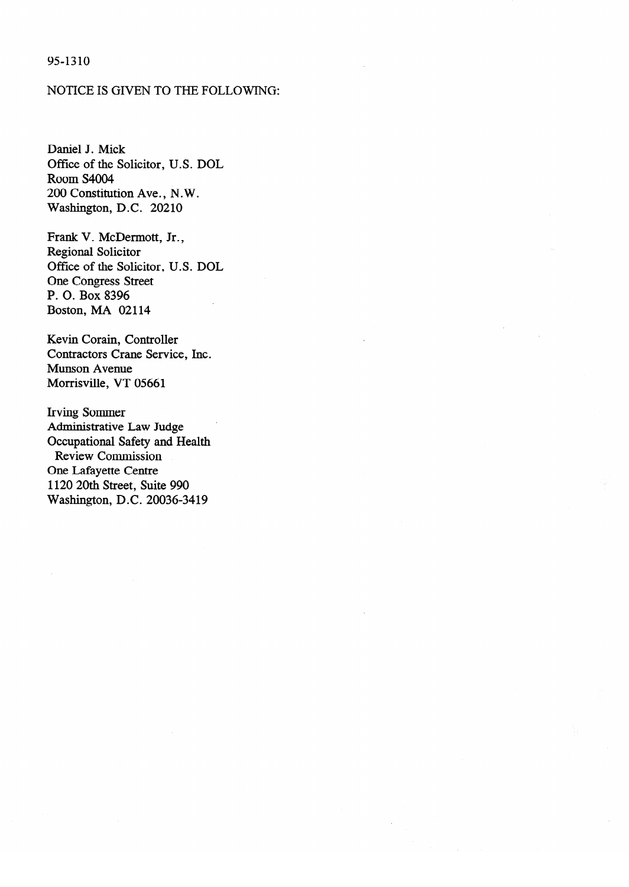### 95-1310

### NOTICE IS GIVEN TO THE FOLLOWING:

Daniel J. Mick Office of the Solicitor, U.S. DOL Room S4004<br>200 Constitution Ave., N.W.  $\overline{W}$ ashington  $\overline{D}C$  20210  $\mathcal{L}$  ,  $\mathcal{L}$ 

Frank V. McDermott, Jr., Regional Solicitor Office of the Solicitor, U.S. DOL One Congress Street P. O. Box 8396 Boston, MA 02114

Kevin Corain, Controller Contractors Crane Service, Inc. Munson Avenue Morrisville, VT 05661

Administrative Law Judge Occupational Safety and Health Review Commission One Lafayette Centre 1120 20th Street, Suite 990 Washington, D.C. 20036-3419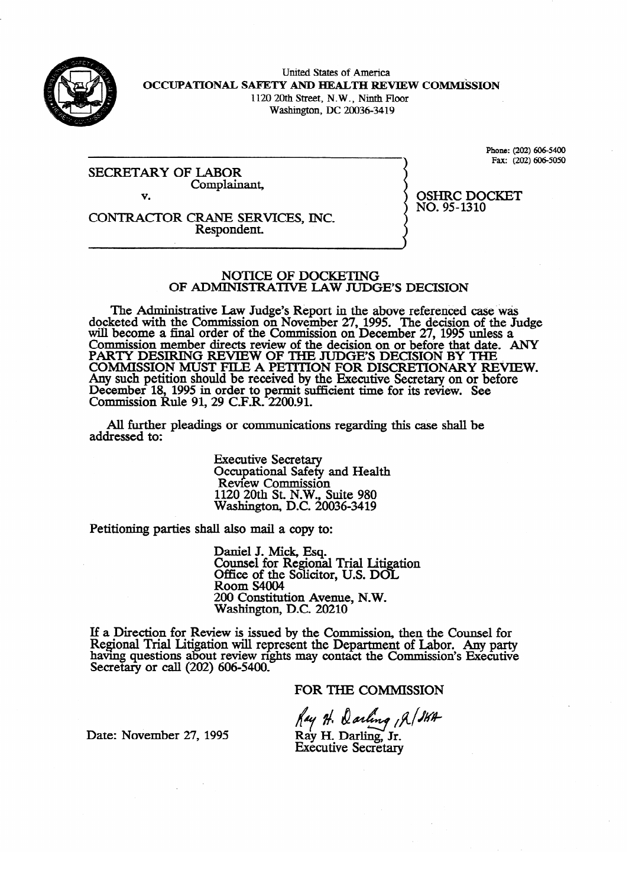

United States of America **OCCUPATIONAL SAFETY AND HEALTH REVIEW COMMISSION** 1120 20th Street, N.W., Ninth Floor Washington, DC 20036-3419

SECRETARY OF LABOR Complainant,  $\mathbf{v}$ v.

 $Fax: (202) 606-5050$ Fax: (202) 6064050

 $NO.95-1310$ NO. 95-1310

 $\sim$  Respondent. Respondent.

# NOTICE OF DOCKETING<br>OF ADMINISTRATIVE LAW JUDGE'S DECISION

The Administrative Law Judge's Report in the above referenced case was  $\epsilon$ eted with the Commission on November 27, 1995. The decision of the Ju will become a final order of the Commission on December 27, 1995 unless a commission opened to decision on the decision of the Judge Commission member directs review of the decision on or before that date. A PARTY DESIRING REVIEW OF THE JUDGE'S DECISION BY THE<br>COMMISSION MUST FILE A DETITION FOR DISCRETIONARY DEVIEW. COMMISSION MUST FILE A PETITION FOR DISCRETIONARY RE Any such pennon should be received by the Executive Secretary on or before December 18, 1995 in order to permit sufficient time for its review. See<br>Commission  $P_{\text{ul}}$  on  $\Omega$   $\Omega$   $\Omega$   $\Omega$   $\Omega$   $\Omega$   $\Omega$ COMMISSION KUIC 91, 29 C.F.K.  $2200.91$ .

All further pleadings or communications regarding this case shall be  $A$  further pleading or communications regarding the communications regarding the case shall be shall be shall be shall be shall be shall be shall be shall be shall be shall be shall be shall be shall be shall be shall be

> **Executive Secretary** Occupational Safety and Health<br>Review Commission  $1120$  20th St. N.W., Suite 980 Washington, D.C. 200 1120 20th St. N.W., Suite 980

Petitioning parties shall also mail a copy to:

Daniel J. Mick, Esq.<br>Counsel for Regional Trial Litigation Office of the Solicitor, U.S. DOL Room S4004 200 Constitution Avenue, N.W. Washington, D.C. 20210

200 Constitution Avenue, N.W. iew is issued by the Comhaving questions about review rights may contact the Commission's Executive<br>Segments on sell (200), 606, 5400 Secretary or call (202) 606-5400.

FOR THE COMMISSION

Date: November 27, 1995

Ray H. Darling , A / SKA Ray H. Darling, Jr. **Executive Secretary**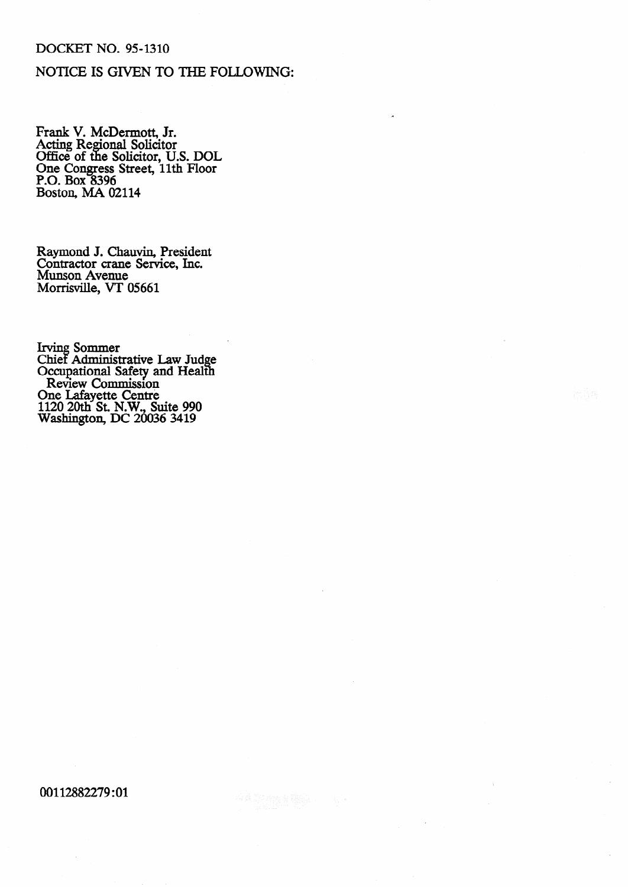### **DOCKET NO. 95-1310**

## NOTICE IS GIVEN TO THE FOLLOWING:

Frank V. McDermott, Jr.<br>Acting Regional Solicitor<br>Office of the Solicitor, U.S. DOL<br>One Congress Street, 11th Floor<br>P.O. Box 8396<br>Boston, MA 02114

Raymond J. Chauvin, President<br>Contractor crane Service, Inc. Munson Avenue Morrisville, VT 05661

Irving Sommer<br>Chief Administrative Law Judge<br>Occupational Safety and Health<br>Review Commission<br>One Lafayette Centre<br>1120 20th St. N.W., Suite 990<br>Washington, DC 20036 3419

00112882279:01